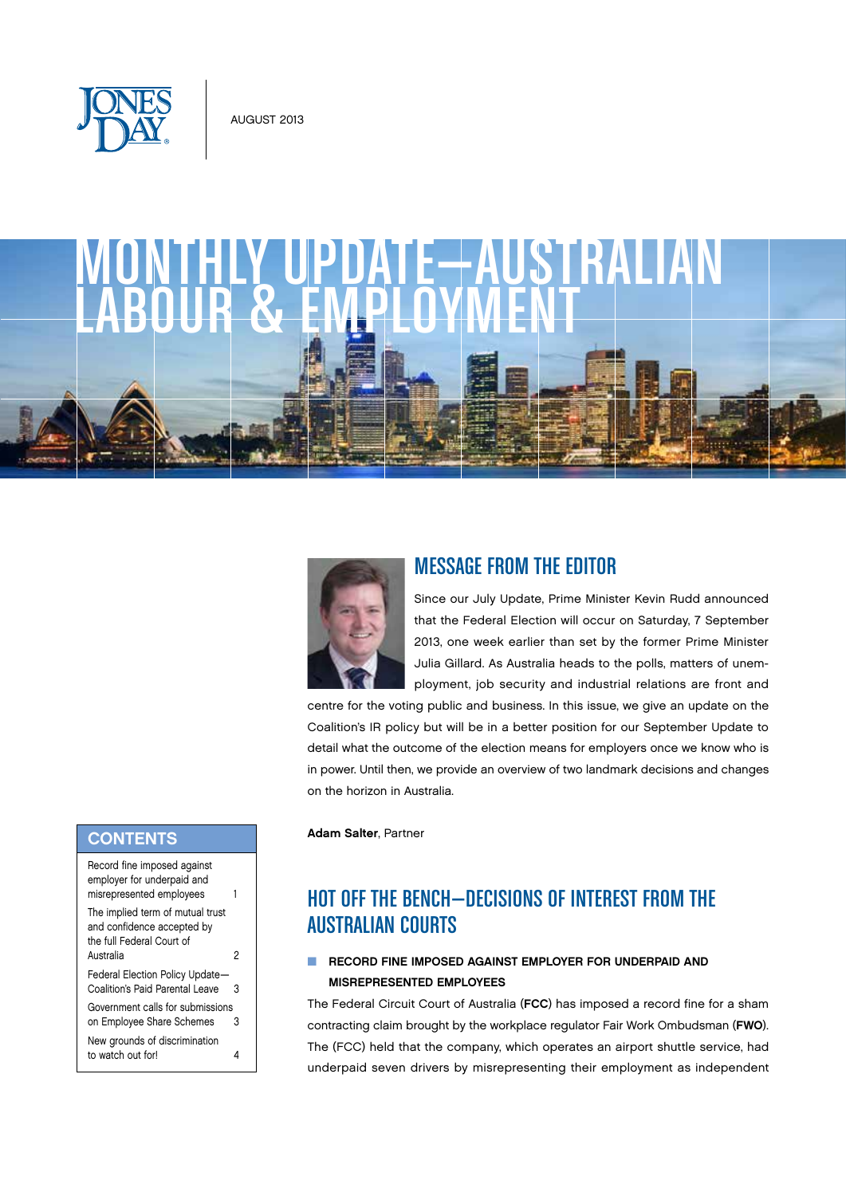

# monthly update—australian 1LY UPDAIE-7<br>R & EMPLOYM



## Message from the Editor

Since our July Update, Prime Minister Kevin Rudd announced that the Federal Election will occur on Saturday, 7 September 2013, one week earlier than set by the former Prime Minister Julia Gillard. As Australia heads to the polls, matters of unemployment, job security and industrial relations are front and

centre for the voting public and business. In this issue, we give an update on the Coalition's IR policy but will be in a better position for our September Update to detail what the outcome of the election means for employers once we know who is in power. Until then, we provide an overview of two landmark decisions and changes on the horizon in Australia.

Adam Salter, Partner

# Hot off the bench—Decisions of Interest from the Australian Courts

### **NUMBER CORD FINE IMPOSED AGAINST EMPLOYER FOR UNDERPAID AND** Misrepresented Employees

The Federal Circuit Court of Australia (FCC) has imposed a record fine for a sham contracting claim brought by the workplace regulator Fair Work Ombudsman (FWO). The (FCC) held that the company, which operates an airport shuttle service, had underpaid seven drivers by misrepresenting their employment as independent

## **CONTENTS**

| Record fine imposed against<br>employer for underpaid and<br>misrepresented employees                    |   |
|----------------------------------------------------------------------------------------------------------|---|
| The implied term of mutual trust<br>and confidence accepted by<br>the full Federal Court of<br>Australia | 2 |
| Federal Election Policy Update-<br>Coalition's Paid Parental Leave                                       | 3 |
| Government calls for submissions<br>on Employee Share Schemes                                            | 3 |
| New grounds of discrimination<br>to watch out for!                                                       | 4 |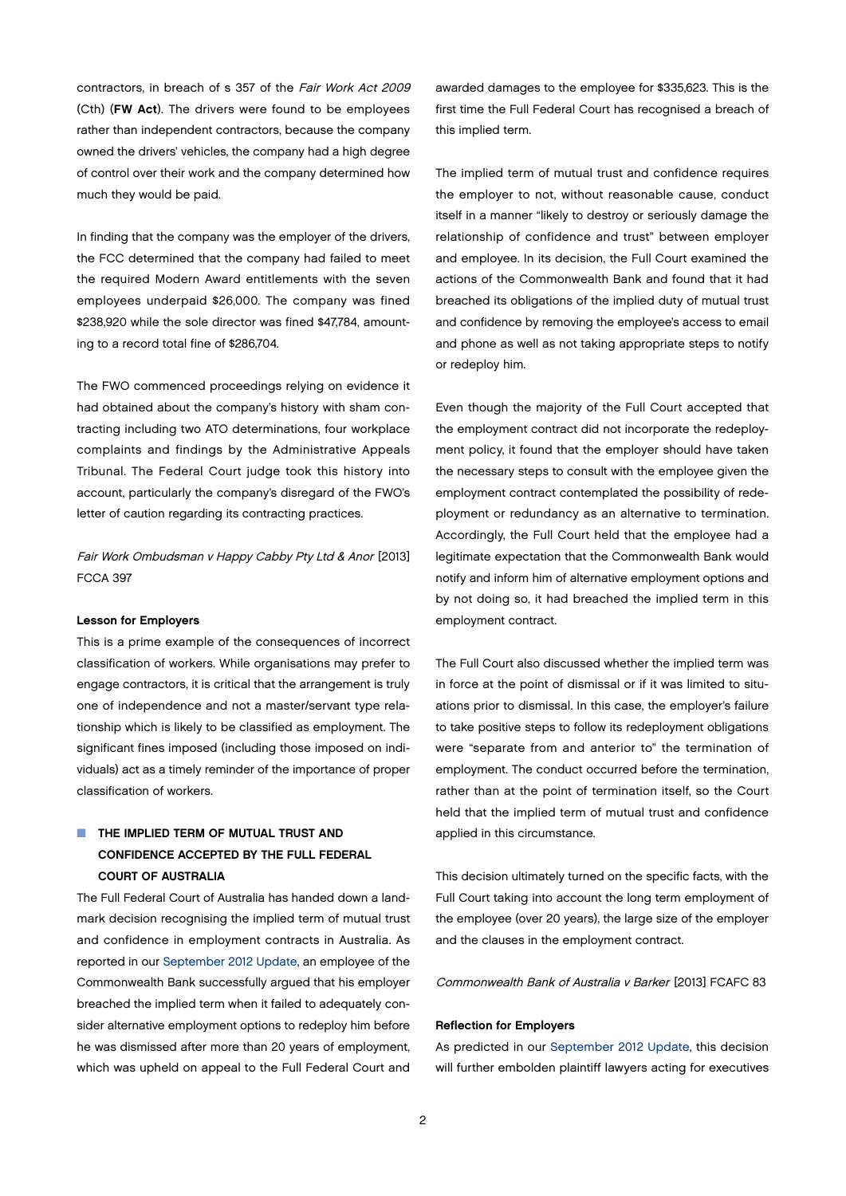contractors, in breach of s 357 of the Fair Work Act 2009 (Cth) (FW Act). The drivers were found to be employees rather than independent contractors, because the company owned the drivers' vehicles, the company had a high degree of control over their work and the company determined how much they would be paid.

In finding that the company was the employer of the drivers, the FCC determined that the company had failed to meet the required Modern Award entitlements with the seven employees underpaid \$26,000. The company was fined \$238,920 while the sole director was fined \$47,784, amounting to a record total fine of \$286,704.

The FWO commenced proceedings relying on evidence it had obtained about the company's history with sham contracting including two ATO determinations, four workplace complaints and findings by the Administrative Appeals Tribunal. The Federal Court judge took this history into account, particularly the company's disregard of the FWO's letter of caution regarding its contracting practices.

Fair Work Ombudsman v Happy Cabby Pty Ltd & Anor [2013] FCCA 397

#### Lesson for Employers

This is a prime example of the consequences of incorrect classification of workers. While organisations may prefer to engage contractors, it is critical that the arrangement is truly one of independence and not a master/servant type relationship which is likely to be classified as employment. The significant fines imposed (including those imposed on individuals) act as a timely reminder of the importance of proper classification of workers.

## **NO THE IMPLIED TERM OF MUTUAL TRUST AND** Confidence Accepted by the Full Federal Court of Australia

The Full Federal Court of Australia has handed down a landmark decision recognising the implied term of mutual trust and confidence in employment contracts in Australia. As reported in our [September 2012 Update,](http://www.jonesday.com/files/Publication/75894065-e89f-4c37-a5f0-0b4b4f206ab1/Presentation/PublicationAttachment/61224098-8e14-47a9-8f40-11d9ef5c1589/Australian%20Monthly%20Update--September%202012.pdf) an employee of the Commonwealth Bank successfully argued that his employer breached the implied term when it failed to adequately consider alternative employment options to redeploy him before he was dismissed after more than 20 years of employment, which was upheld on appeal to the Full Federal Court and

awarded damages to the employee for \$335,623. This is the first time the Full Federal Court has recognised a breach of this implied term.

The implied term of mutual trust and confidence requires the employer to not, without reasonable cause, conduct itself in a manner "likely to destroy or seriously damage the relationship of confidence and trust" between employer and employee. In its decision, the Full Court examined the actions of the Commonwealth Bank and found that it had breached its obligations of the implied duty of mutual trust and confidence by removing the employee's access to email and phone as well as not taking appropriate steps to notify or redeploy him.

Even though the majority of the Full Court accepted that the employment contract did not incorporate the redeployment policy, it found that the employer should have taken the necessary steps to consult with the employee given the employment contract contemplated the possibility of redeployment or redundancy as an alternative to termination. Accordingly, the Full Court held that the employee had a legitimate expectation that the Commonwealth Bank would notify and inform him of alternative employment options and by not doing so, it had breached the implied term in this employment contract.

The Full Court also discussed whether the implied term was in force at the point of dismissal or if it was limited to situations prior to dismissal. In this case, the employer's failure to take positive steps to follow its redeployment obligations were "separate from and anterior to" the termination of employment. The conduct occurred before the termination, rather than at the point of termination itself, so the Court held that the implied term of mutual trust and confidence applied in this circumstance.

This decision ultimately turned on the specific facts, with the Full Court taking into account the long term employment of the employee (over 20 years), the large size of the employer and the clauses in the employment contract.

Commonwealth Bank of Australia v Barker [2013] FCAFC 83

#### Reflection for Employers

As predicted in our [September 2012 Update,](http://www.jonesday.com/files/Publication/75894065-e89f-4c37-a5f0-0b4b4f206ab1/Presentation/PublicationAttachment/61224098-8e14-47a9-8f40-11d9ef5c1589/Australian%20Monthly%20Update--September%202012.pdf) this decision will further embolden plaintiff lawyers acting for executives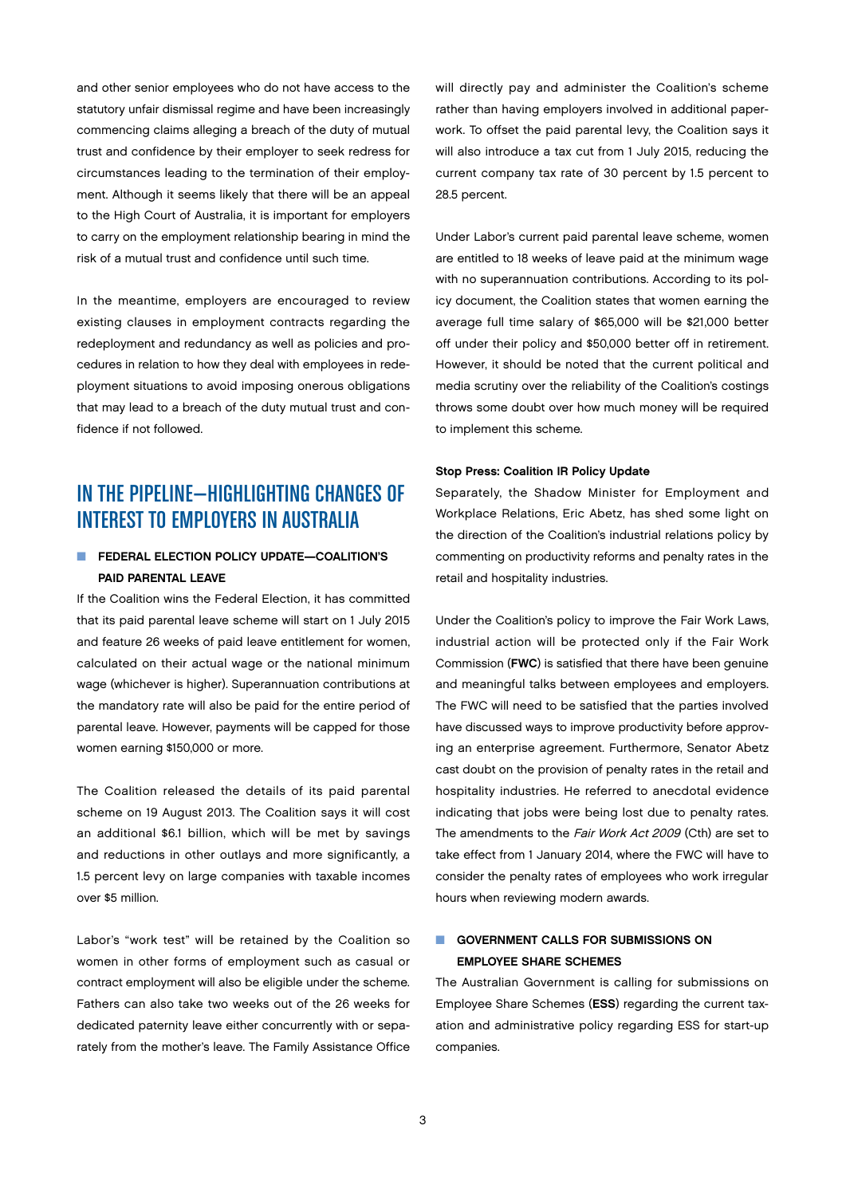and other senior employees who do not have access to the statutory unfair dismissal regime and have been increasingly commencing claims alleging a breach of the duty of mutual trust and confidence by their employer to seek redress for circumstances leading to the termination of their employment. Although it seems likely that there will be an appeal to the High Court of Australia, it is important for employers to carry on the employment relationship bearing in mind the risk of a mutual trust and confidence until such time.

In the meantime, employers are encouraged to review existing clauses in employment contracts regarding the redeployment and redundancy as well as policies and procedures in relation to how they deal with employees in redeployment situations to avoid imposing onerous obligations that may lead to a breach of the duty mutual trust and confidence if not followed.

# INTHE PIPELINE—HIGHLIGHTING CHANGES OF INTEREST TO EMPLOYERS IN AUSTRALIA

## ■ FEDERAL ELECTION POLICY UPDATE—COALITION'S Paid Parental Leave

If the Coalition wins the Federal Election, it has committed that its paid parental leave scheme will start on 1 July 2015 and feature 26 weeks of paid leave entitlement for women, calculated on their actual wage or the national minimum wage (whichever is higher). Superannuation contributions at the mandatory rate will also be paid for the entire period of parental leave. However, payments will be capped for those women earning \$150,000 or more.

The Coalition released the details of its paid parental scheme on 19 August 2013. The Coalition says it will cost an additional \$6.1 billion, which will be met by savings and reductions in other outlays and more significantly, a 1.5 percent levy on large companies with taxable incomes over \$5 million.

Labor's "work test" will be retained by the Coalition so women in other forms of employment such as casual or contract employment will also be eligible under the scheme. Fathers can also take two weeks out of the 26 weeks for dedicated paternity leave either concurrently with or separately from the mother's leave. The Family Assistance Office

will directly pay and administer the Coalition's scheme rather than having employers involved in additional paperwork. To offset the paid parental levy, the Coalition says it will also introduce a tax cut from 1 July 2015, reducing the current company tax rate of 30 percent by 1.5 percent to 28.5 percent.

Under Labor's current paid parental leave scheme, women are entitled to 18 weeks of leave paid at the minimum wage with no superannuation contributions. According to its policy document, the Coalition states that women earning the average full time salary of \$65,000 will be \$21,000 better off under their policy and \$50,000 better off in retirement. However, it should be noted that the current political and media scrutiny over the reliability of the Coalition's costings throws some doubt over how much money will be required to implement this scheme.

#### Stop Press: Coalition IR Policy Update

Separately, the Shadow Minister for Employment and Workplace Relations, Eric Abetz, has shed some light on the direction of the Coalition's industrial relations policy by commenting on productivity reforms and penalty rates in the retail and hospitality industries.

Under the Coalition's policy to improve the Fair Work Laws, industrial action will be protected only if the Fair Work Commission (FWC) is satisfied that there have been genuine and meaningful talks between employees and employers. The FWC will need to be satisfied that the parties involved have discussed ways to improve productivity before approving an enterprise agreement. Furthermore, Senator Abetz cast doubt on the provision of penalty rates in the retail and hospitality industries. He referred to anecdotal evidence indicating that jobs were being lost due to penalty rates. The amendments to the Fair Work Act 2009 (Cth) are set to take effect from 1 January 2014, where the FWC will have to consider the penalty rates of employees who work irregular hours when reviewing modern awards.

## **n** GOVERNMENT CALLS FOR SUBMISSIONS ON Employee Share Schemes

The Australian Government is calling for submissions on Employee Share Schemes (ESS) regarding the current taxation and administrative policy regarding ESS for start-up companies.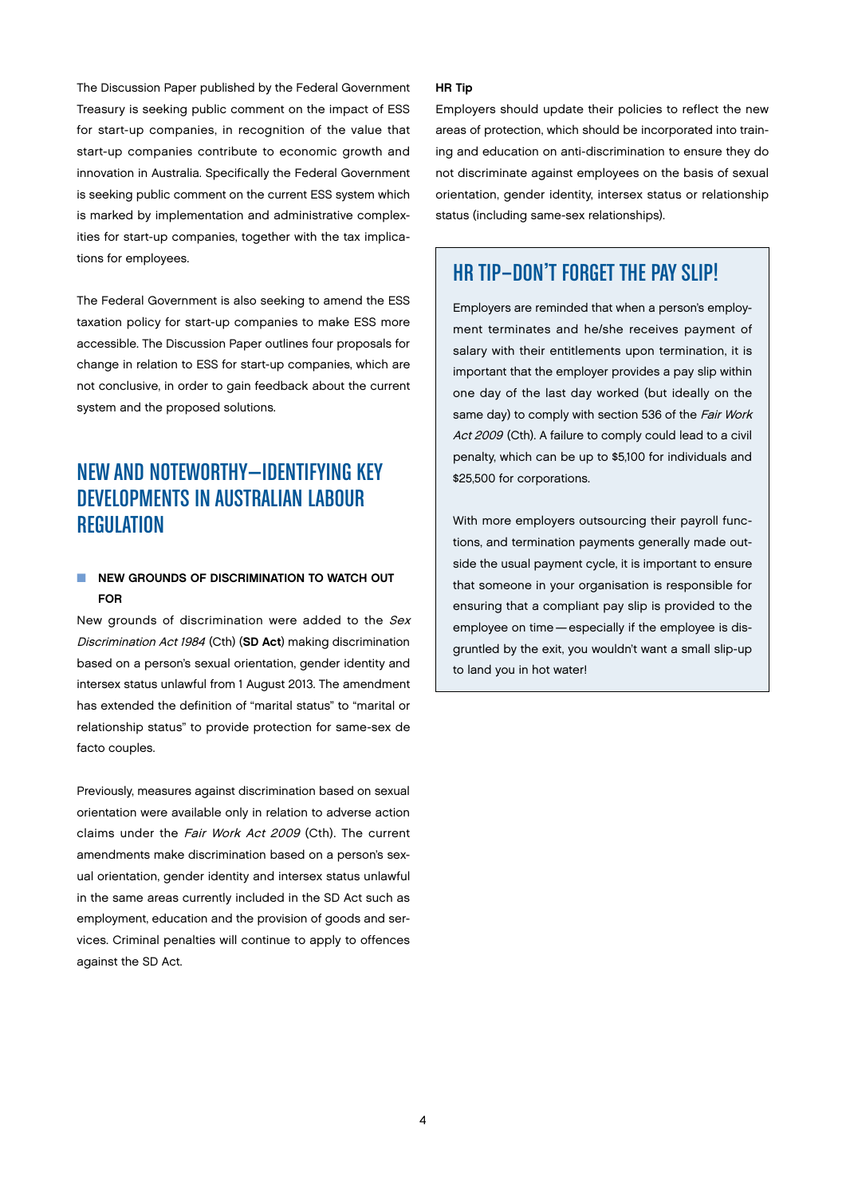The Discussion Paper published by the Federal Government Treasury is seeking public comment on the impact of ESS for start-up companies, in recognition of the value that start-up companies contribute to economic growth and innovation in Australia. Specifically the Federal Government is seeking public comment on the current ESS system which is marked by implementation and administrative complexities for start-up companies, together with the tax implications for employees.

The Federal Government is also seeking to amend the ESS taxation policy for start-up companies to make ESS more accessible. The Discussion Paper outlines four proposals for change in relation to ESS for start-up companies, which are not conclusive, in order to gain feedback about the current system and the proposed solutions.

# New and noteworthy—IDENTIFYING KEY DEVELOPMENTS IN AUSTRALIAN LABOUR **REGULATION**

## NEW GROUNDS OF DISCRIMINATION TO WATCH OUT For

New grounds of discrimination were added to the Sex Discrimination Act 1984 (Cth) (SD Act) making discrimination based on a person's sexual orientation, gender identity and intersex status unlawful from 1 August 2013. The amendment has extended the definition of "marital status" to "marital or relationship status" to provide protection for same-sex de facto couples.

Previously, measures against discrimination based on sexual orientation were available only in relation to adverse action claims under the Fair Work Act 2009 (Cth). The current amendments make discrimination based on a person's sexual orientation, gender identity and intersex status unlawful in the same areas currently included in the SD Act such as employment, education and the provision of goods and services. Criminal penalties will continue to apply to offences against the SD Act.

#### HR Tip

Employers should update their policies to reflect the new areas of protection, which should be incorporated into training and education on anti-discrimination to ensure they do not discriminate against employees on the basis of sexual orientation, gender identity, intersex status or relationship status (including same-sex relationships).

## HRTip—Don't Forget the Pay Slip!

Employers are reminded that when a person's employment terminates and he/she receives payment of salary with their entitlements upon termination, it is important that the employer provides a pay slip within one day of the last day worked (but ideally on the same day) to comply with section 536 of the Fair Work Act 2009 (Cth). A failure to comply could lead to a civil penalty, which can be up to \$5,100 for individuals and \$25,500 for corporations.

With more employers outsourcing their payroll functions, and termination payments generally made outside the usual payment cycle, it is important to ensure that someone in your organisation is responsible for ensuring that a compliant pay slip is provided to the employee on time—especially if the employee is disgruntled by the exit, you wouldn't want a small slip-up to land you in hot water!